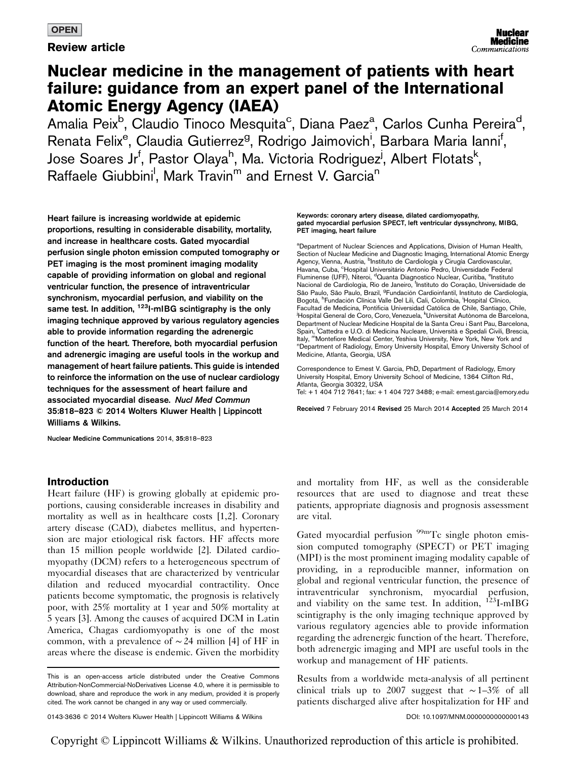Review article

# Nuclear medicine in the management of patients with heart failure: guidance from an expert panel of the International Atomic Energy Agency (IAEA)

Amalia Peix<sup>b</sup>, Claudio Tinoco Mesquita<sup>c</sup>, Diana Paez<sup>a</sup>, Carlos Cunha Pereira<sup>d</sup>, Renata Felix<sup>e</sup>, Claudia Gutierrez<sup>g</sup>, Rodrigo Jaimovich<sup>i</sup>, Barbara Maria lanni<sup>f</sup>, Jose Soares Jr<sup>f</sup>, Pastor Olaya<sup>h</sup>, Ma. Victoria Rodriguez<sup>j</sup>, Albert Flotats<sup>k</sup>, Raffaele Giubbini<sup>!</sup>, Mark Travin<sup>m</sup> and Ernest V. Garcia<sup>n</sup>

Heart failure is increasing worldwide at epidemic proportions, resulting in considerable disability, mortality, and increase in healthcare costs. Gated myocardial perfusion single photon emission computed tomography or PET imaging is the most prominent imaging modality capable of providing information on global and regional ventricular function, the presence of intraventricular synchronism, myocardial perfusion, and viability on the same test. In addition,  $123$ I-mIBG scintigraphy is the only imaging technique approved by various regulatory agencies able to provide information regarding the adrenergic function of the heart. Therefore, both myocardial perfusion and adrenergic imaging are useful tools in the workup and management of heart failure patients. This guide is intended to reinforce the information on the use of nuclear cardiology techniques for the assessment of heart failure and associated myocardial disease. Nucl Med Commun 35:818–823 © 2014 Wolters Kluwer Health | Lippincott Williams & Wilkins.

Keywords: coronary artery disease, dilated cardiomyopathy, gated myocardial perfusion SPECT, left ventricular dyssynchrony, MIBG, PET imaging, heart failure

<sup>a</sup>Department of Nuclear Sciences and Applications, Division of Human Health, Section of Nuclear Medicine and Diagnostic Imaging, International Atomic Energy Agency, Vienna, Austria, <sup>b</sup>Instituto de Cardiología y Cirugía Cardiovascular, Havana, Cuba, <sup>c</sup>Hospital Universitário Antonio Pedro, Universidade Federal<br>Fluminense (UFF), Niteroi, <sup>d</sup>Quanta Diagnostico Nuclear, Curitiba, <sup>e</sup>lnstituto Nacional de Cardiologia, Rio de Janeiro, <sup>f</sup>Instituto do Coração, Universidade de São Paulo, São Paulo, Brazil, <sup>g</sup>Fundación Cardioinfantil, Instituto de Cardiología, Bogotá, <sup>h</sup>Fundación Clínica Valle Del Lili, Cali, Colombia, <sup>i</sup>Hospital Clínico, Facultad de Medicina, Pontificia Universidad Católica de Chile, Santiago, Chile, j Hospital General de Coro, Coro, Venezuela, <sup>k</sup>Universitat Autònoma de Barcelona, Department of Nuclear Medicine Hospital de la Santa Creu i Sant Pau, Barcelona, Spain, <sup>I</sup>Cattedra e U.O. di Medicina Nucleare, Università e Spedali Civili, Brescia, Italy, <sup>m</sup>Montefiore Medical Center, Yeshiva University, New York, New York and Department of Radiology, Emory University Hospital, Emory University School of Medicine, Atlanta, Georgia, USA

Correspondence to Ernest V. Garcia, PhD, Department of Radiology, Emory University Hospital, Emory University School of Medicine, 1364 Clifton Rd., Atlanta, Georgia 30322, USA Tel: + 1 404 712 7641; fax: + 1 404 727 3488; e-mail: ernest.garcia@emory.edu

Received 7 February 2014 Revised 25 March 2014 Accepted 25 March 2014

Nuclear Medicine Communications 2014, 35:818–823

# Introduction

Heart failure (HF) is growing globally at epidemic proportions, causing considerable increases in disability and mortality as well as in healthcare costs [1,2]. Coronary artery disease (CAD), diabetes mellitus, and hypertension are major etiological risk factors. HF affects more than 15 million people worldwide [2]. Dilated cardiomyopathy (DCM) refers to a heterogeneous spectrum of myocardial diseases that are characterized by ventricular dilation and reduced myocardial contractility. Once patients become symptomatic, the prognosis is relatively poor, with 25% mortality at 1 year and 50% mortality at 5 years [3]. Among the causes of acquired DCM in Latin America, Chagas cardiomyopathy is one of the most common, with a prevalence of ∼ 24 million [4] of HF in areas where the disease is endemic. Given the morbidity

and mortality from HF, as well as the considerable resources that are used to diagnose and treat these patients, appropriate diagnosis and prognosis assessment are vital.

Gated myocardial perfusion  $\frac{99 \text{m}}{C}$  single photon emission computed tomography (SPECT) or PET imaging (MPI) is the most prominent imaging modality capable of providing, in a reproducible manner, information on global and regional ventricular function, the presence of intraventricular synchronism, myocardial perfusion, and viability on the same test. In addition, <sup>123</sup>I-mIBG scintigraphy is the only imaging technique approved by various regulatory agencies able to provide information regarding the adrenergic function of the heart. Therefore, both adrenergic imaging and MPI are useful tools in the workup and management of HF patients.

Results from a worldwide meta-analysis of all pertinent clinical trials up to 2007 suggest that ∼1–3% of all patients discharged alive after hospitalization for HF and

0143-3636 © 2014 Wolters Kluwer Health | Lippincott Williams & Wilkins DOI: 10.1097/MNM.0000000000000143

Copyright © Lippincott Williams & Wilkins. Unauthorized reproduction of this article is prohibited.

This is an open-access article distributed under the Creative Commons Attribution-NonCommercial-NoDerivatives License 4.0, where it is permissible to download, share and reproduce the work in any medium, provided it is properly cited. The work cannot be changed in any way or used commercially.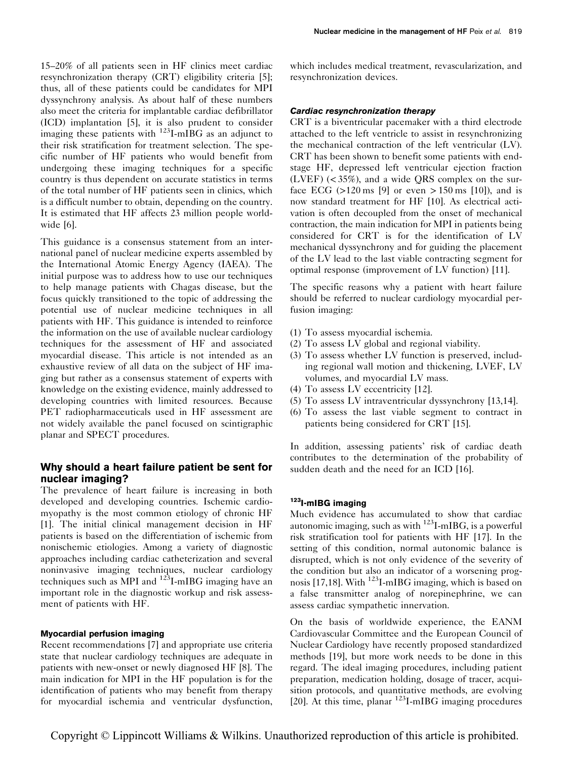15–20% of all patients seen in HF clinics meet cardiac resynchronization therapy (CRT) eligibility criteria [5]; thus, all of these patients could be candidates for MPI dyssynchrony analysis. As about half of these numbers also meet the criteria for implantable cardiac defibrillator (ICD) implantation [5], it is also prudent to consider imaging these patients with  $^{123}$ I-mIBG as an adjunct to their risk stratification for treatment selection. The specific number of HF patients who would benefit from undergoing these imaging techniques for a specific country is thus dependent on accurate statistics in terms of the total number of HF patients seen in clinics, which is a difficult number to obtain, depending on the country. It is estimated that HF affects 23 million people worldwide [6].

This guidance is a consensus statement from an international panel of nuclear medicine experts assembled by the International Atomic Energy Agency (IAEA). The initial purpose was to address how to use our techniques to help manage patients with Chagas disease, but the focus quickly transitioned to the topic of addressing the potential use of nuclear medicine techniques in all patients with HF. This guidance is intended to reinforce the information on the use of available nuclear cardiology techniques for the assessment of HF and associated myocardial disease. This article is not intended as an exhaustive review of all data on the subject of HF imaging but rather as a consensus statement of experts with knowledge on the existing evidence, mainly addressed to developing countries with limited resources. Because PET radiopharmaceuticals used in HF assessment are not widely available the panel focused on scintigraphic planar and SPECT procedures.

# Why should a heart failure patient be sent for nuclear imaging?

The prevalence of heart failure is increasing in both developed and developing countries. Ischemic cardiomyopathy is the most common etiology of chronic HF [1]. The initial clinical management decision in HF patients is based on the differentiation of ischemic from nonischemic etiologies. Among a variety of diagnostic approaches including cardiac catheterization and several noninvasive imaging techniques, nuclear cardiology techniques such as MPI and  $^{123}$ I-mIBG imaging have an important role in the diagnostic workup and risk assessment of patients with HF.

#### Myocardial perfusion imaging

Recent recommendations [7] and appropriate use criteria state that nuclear cardiology techniques are adequate in patients with new-onset or newly diagnosed HF [8]. The main indication for MPI in the HF population is for the identification of patients who may benefit from therapy for myocardial ischemia and ventricular dysfunction, which includes medical treatment, revascularization, and resynchronization devices.

# Cardiac resynchronization therapy

CRT is a biventricular pacemaker with a third electrode attached to the left ventricle to assist in resynchronizing the mechanical contraction of the left ventricular (LV). CRT has been shown to benefit some patients with endstage HF, depressed left ventricular ejection fraction  $(LVEF)$  (<35%), and a wide QRS complex on the surface ECG  $(>120 \text{ ms}$  [9] or even  $> 150 \text{ ms}$  [10]), and is now standard treatment for HF [10]. As electrical activation is often decoupled from the onset of mechanical contraction, the main indication for MPI in patients being considered for CRT is for the identification of LV mechanical dyssynchrony and for guiding the placement of the LV lead to the last viable contracting segment for optimal response (improvement of LV function) [11].

The specific reasons why a patient with heart failure should be referred to nuclear cardiology myocardial perfusion imaging:

- (1) To assess myocardial ischemia.
- (2) To assess LV global and regional viability.
- (3) To assess whether LV function is preserved, including regional wall motion and thickening, LVEF, LV volumes, and myocardial LV mass.
- (4) To assess LV eccentricity [12].
- (5) To assess LV intraventricular dyssynchrony [13,14].
- (6) To assess the last viable segment to contract in patients being considered for CRT [15].

In addition, assessing patients' risk of cardiac death contributes to the determination of the probability of sudden death and the need for an ICD [16].

# 123<sub>1</sub>-mIBG imaging

Much evidence has accumulated to show that cardiac autonomic imaging, such as with  $123$ I-mIBG, is a powerful risk stratification tool for patients with HF [17]. In the setting of this condition, normal autonomic balance is disrupted, which is not only evidence of the severity of the condition but also an indicator of a worsening prognosis [17,18]. With <sup>123</sup>I-mIBG imaging, which is based on a false transmitter analog of norepinephrine, we can assess cardiac sympathetic innervation.

On the basis of worldwide experience, the EANM Cardiovascular Committee and the European Council of Nuclear Cardiology have recently proposed standardized methods [19], but more work needs to be done in this regard. The ideal imaging procedures, including patient preparation, medication holding, dosage of tracer, acquisition protocols, and quantitative methods, are evolving [20]. At this time, planar <sup>123</sup>I-mIBG imaging procedures

Copyright © Lippincott Williams & Wilkins. Unauthorized reproduction of this article is prohibited.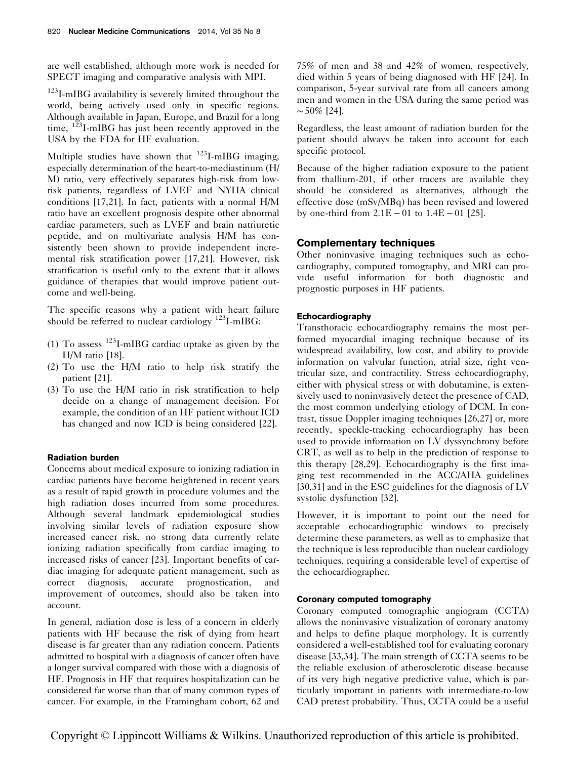are well established, although more work is needed for SPECT imaging and comparative analysis with MPI.

<sup>123</sup>I-mIBG availability is severely limited throughout the world, being actively used only in specific regions. Although available in Japan, Europe, and Brazil for a long time,  $123$ I-mIBG has just been recently approved in the USA by the FDA for HF evaluation.

Multiple studies have shown that  $123I$ -mIBG imaging, especially determination of the heart-to-mediastinum (H/ M) ratio, very effectively separates high-risk from lowrisk patients, regardless of LVEF and NYHA clinical conditions [17,21]. In fact, patients with a normal H/M ratio have an excellent prognosis despite other abnormal cardiac parameters, such as LVEF and brain natriuretic peptide, and on multivariate analysis H/M has consistently been shown to provide independent incremental risk stratification power [17,21]. However, risk stratification is useful only to the extent that it allows guidance of therapies that would improve patient outcome and well-being.

The specific reasons why a patient with heart failure should be referred to nuclear cardiology  $^{123}$ I-mIBG:

- (1) To assess  $123$ I-mIBG cardiac uptake as given by the H/M ratio [18].
- (2) To use the H/M ratio to help risk stratify the patient [21].
- (3) To use the H/M ratio in risk stratification to help decide on a change of management decision. For example, the condition of an HF patient without ICD has changed and now ICD is being considered [22].

# Radiation burden

Concerns about medical exposure to ionizing radiation in cardiac patients have become heightened in recent years as a result of rapid growth in procedure volumes and the high radiation doses incurred from some procedures. Although several landmark epidemiological studies involving similar levels of radiation exposure show increased cancer risk, no strong data currently relate ionizing radiation specifically from cardiac imaging to increased risks of cancer [23]. Important benefits of cardiac imaging for adequate patient management, such as correct diagnosis, accurate prognostication, and improvement of outcomes, should also be taken into account.

In general, radiation dose is less of a concern in elderly patients with HF because the risk of dying from heart disease is far greater than any radiation concern. Patients admitted to hospital with a diagnosis of cancer often have a longer survival compared with those with a diagnosis of HF. Prognosis in HF that requires hospitalization can be considered far worse than that of many common types of cancer. For example, in the Framingham cohort, 62 and 75% of men and 38 and 42% of women, respectively, died within 5 years of being diagnosed with HF [24]. In comparison, 5-year survival rate from all cancers among men and women in the USA during the same period was  $~\sim$  50% [24].

Regardless, the least amount of radiation burden for the patient should always be taken into account for each specific protocol.

Because of the higher radiation exposure to the patient from thallium-201, if other tracers are available they should be considered as alternatives, although the effective dose (mSv/MBq) has been revised and lowered by one-third from  $2.1E - 01$  to  $1.4E - 01$  [25].

# Complementary techniques

Other noninvasive imaging techniques such as echocardiography, computed tomography, and MRI can provide useful information for both diagnostic and prognostic purposes in HF patients.

### Echocardiography

Transthoracic echocardiography remains the most performed myocardial imaging technique because of its widespread availability, low cost, and ability to provide information on valvular function, atrial size, right ventricular size, and contractility. Stress echocardiography, either with physical stress or with dobutamine, is extensively used to noninvasively detect the presence of CAD, the most common underlying etiology of DCM. In contrast, tissue Doppler imaging techniques [26,27] or, more recently, speckle-tracking echocardiography has been used to provide information on LV dyssynchrony before CRT, as well as to help in the prediction of response to this therapy [28,29]. Echocardiography is the first imaging test recommended in the ACC/AHA guidelines [30,31] and in the ESC guidelines for the diagnosis of LV systolic dysfunction [32].

However, it is important to point out the need for acceptable echocardiographic windows to precisely determine these parameters, as well as to emphasize that the technique is less reproducible than nuclear cardiology techniques, requiring a considerable level of expertise of the echocardiographer.

#### Coronary computed tomography

Coronary computed tomographic angiogram (CCTA) allows the noninvasive visualization of coronary anatomy and helps to define plaque morphology. It is currently considered a well-established tool for evaluating coronary disease [33,34]. The main strength of CCTA seems to be the reliable exclusion of atherosclerotic disease because of its very high negative predictive value, which is particularly important in patients with intermediate-to-low CAD pretest probability. Thus, CCTA could be a useful

Copyright © Lippincott Williams & Wilkins. Unauthorized reproduction of this article is prohibited.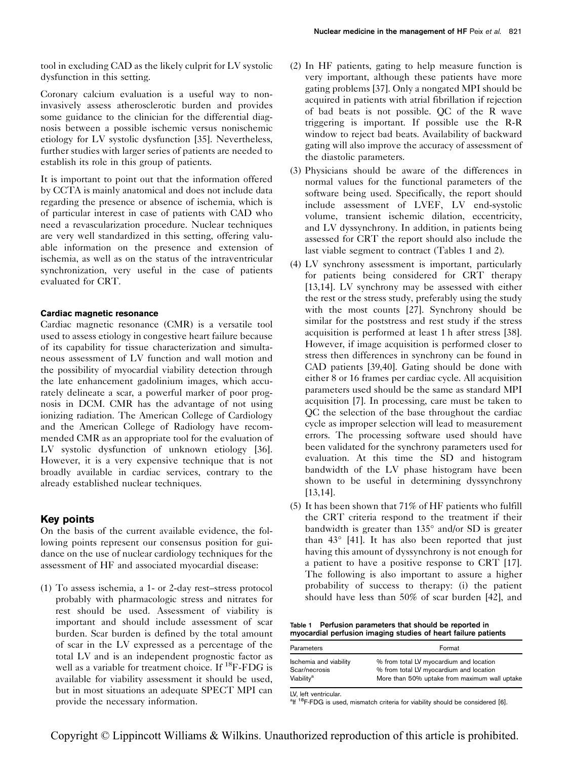tool in excluding CAD as the likely culprit for LV systolic dysfunction in this setting.

Coronary calcium evaluation is a useful way to noninvasively assess atherosclerotic burden and provides some guidance to the clinician for the differential diagnosis between a possible ischemic versus nonischemic etiology for LV systolic dysfunction [35]. Nevertheless, further studies with larger series of patients are needed to establish its role in this group of patients.

It is important to point out that the information offered by CCTA is mainly anatomical and does not include data regarding the presence or absence of ischemia, which is of particular interest in case of patients with CAD who need a revascularization procedure. Nuclear techniques are very well standardized in this setting, offering valuable information on the presence and extension of ischemia, as well as on the status of the intraventricular synchronization, very useful in the case of patients evaluated for CRT.

#### Cardiac magnetic resonance

Cardiac magnetic resonance (CMR) is a versatile tool used to assess etiology in congestive heart failure because of its capability for tissue characterization and simultaneous assessment of LV function and wall motion and the possibility of myocardial viability detection through the late enhancement gadolinium images, which accurately delineate a scar, a powerful marker of poor prognosis in DCM. CMR has the advantage of not using ionizing radiation. The American College of Cardiology and the American College of Radiology have recommended CMR as an appropriate tool for the evaluation of LV systolic dysfunction of unknown etiology [36]. However, it is a very expensive technique that is not broadly available in cardiac services, contrary to the already established nuclear techniques.

# Key points

On the basis of the current available evidence, the following points represent our consensus position for guidance on the use of nuclear cardiology techniques for the assessment of HF and associated myocardial disease:

(1) To assess ischemia, a 1- or 2-day rest–stress protocol probably with pharmacologic stress and nitrates for rest should be used. Assessment of viability is important and should include assessment of scar burden. Scar burden is defined by the total amount of scar in the LV expressed as a percentage of the total LV and is an independent prognostic factor as well as a variable for treatment choice. If <sup>18</sup>F-FDG is available for viability assessment it should be used, but in most situations an adequate SPECT MPI can provide the necessary information.

- (2) In HF patients, gating to help measure function is very important, although these patients have more gating problems [37]. Only a nongated MPI should be acquired in patients with atrial fibrillation if rejection of bad beats is not possible. QC of the R wave triggering is important. If possible use the R-R window to reject bad beats. Availability of backward gating will also improve the accuracy of assessment of the diastolic parameters.
- (3) Physicians should be aware of the differences in normal values for the functional parameters of the software being used. Specifically, the report should include assessment of LVEF, LV end-systolic volume, transient ischemic dilation, eccentricity, and LV dyssynchrony. In addition, in patients being assessed for CRT the report should also include the last viable segment to contract (Tables 1 and 2).
- (4) LV synchrony assessment is important, particularly for patients being considered for CRT therapy [13,14]. LV synchrony may be assessed with either the rest or the stress study, preferably using the study with the most counts [27]. Synchrony should be similar for the poststress and rest study if the stress acquisition is performed at least 1 h after stress [38]. However, if image acquisition is performed closer to stress then differences in synchrony can be found in CAD patients [39,40]. Gating should be done with either 8 or 16 frames per cardiac cycle. All acquisition parameters used should be the same as standard MPI acquisition [7]. In processing, care must be taken to QC the selection of the base throughout the cardiac cycle as improper selection will lead to measurement errors. The processing software used should have been validated for the synchrony parameters used for evaluation. At this time the SD and histogram bandwidth of the LV phase histogram have been shown to be useful in determining dyssynchrony [13,14].
- (5) It has been shown that 71% of HF patients who fulfill the CRT criteria respond to the treatment if their bandwidth is greater than 135° and/or SD is greater than 43° [41]. It has also been reported that just having this amount of dyssynchrony is not enough for a patient to have a positive response to CRT [17]. The following is also important to assure a higher probability of success to therapy: (i) the patient should have less than 50% of scar burden [42], and

Table 1 Perfusion parameters that should be reported in myocardial perfusion imaging studies of heart failure patients

| Parameters             | Format                                        |
|------------------------|-----------------------------------------------|
| Ischemia and viability | % from total LV myocardium and location       |
| Scar/necrosis          | % from total LV myocardium and location       |
| Viability <sup>a</sup> | More than 50% uptake from maximum wall uptake |

LV, left ventricular.

<sup>a</sup>lf<sup>18</sup>F-FDG is used, mismatch criteria for viability should be considered [6].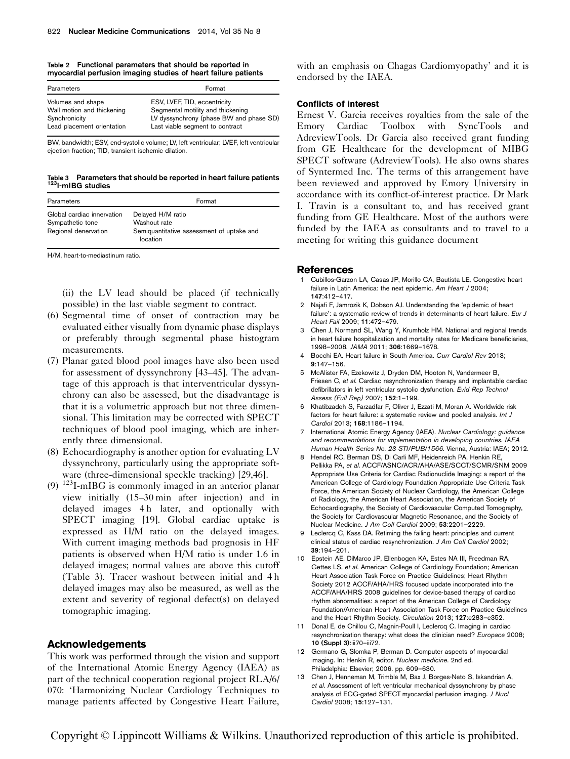Table 2 Functional parameters that should be reported in myocardial perfusion imaging studies of heart failure patients

| Parameters                 | Format                                  |
|----------------------------|-----------------------------------------|
| Volumes and shape          | ESV, LVEF, TID, eccentricity            |
| Wall motion and thickening | Segmental motility and thickening       |
| Synchronicity              | LV dyssynchrony (phase BW and phase SD) |
| Lead placement orientation | Last viable segment to contract         |

BW, bandwidth; ESV, end-systolic volume; LV, left ventricular; LVEF, left ventricular ejection fraction; TID, transient ischemic dilation.

Table 3 Parameters that should be reported in heart failure patients<br><sup>123</sup>I-mIBG studies

| Parameters                                                             | Format                                                                                     |
|------------------------------------------------------------------------|--------------------------------------------------------------------------------------------|
| Global cardiac innervation<br>Sympathetic tone<br>Regional denervation | Delayed H/M ratio<br>Washout rate<br>Semiguantitative assessment of uptake and<br>location |

H/M, heart-to-mediastinum ratio.

(ii) the LV lead should be placed (if technically possible) in the last viable segment to contract.

- (6) Segmental time of onset of contraction may be evaluated either visually from dynamic phase displays or preferably through segmental phase histogram measurements.
- (7) Planar gated blood pool images have also been used for assessment of dyssynchrony [43–45]. The advantage of this approach is that interventricular dyssynchrony can also be assessed, but the disadvantage is that it is a volumetric approach but not three dimensional. This limitation may be corrected with SPECT techniques of blood pool imaging, which are inherently three dimensional.
- (8) Echocardiography is another option for evaluating LV dyssynchrony, particularly using the appropriate software (three-dimensional speckle tracking) [29,46].
- (9)  $123$ I-mIBG is commonly imaged in an anterior planar view initially (15–30 min after injection) and in delayed images 4h later, and optionally with SPECT imaging [19]. Global cardiac uptake is expressed as H/M ratio on the delayed images. With current imaging methods bad prognosis in HF patients is observed when H/M ratio is under 1.6 in delayed images; normal values are above this cutoff (Table 3). Tracer washout between initial and 4 h delayed images may also be measured, as well as the extent and severity of regional defect(s) on delayed tomographic imaging.

#### Acknowledgements

This work was performed through the vision and support of the International Atomic Energy Agency (IAEA) as part of the technical cooperation regional project RLA/6/ 070: 'Harmonizing Nuclear Cardiology Techniques to manage patients affected by Congestive Heart Failure, with an emphasis on Chagas Cardiomyopathy' and it is endorsed by the IAEA.

#### Conflicts of interest

Ernest V. Garcia receives royalties from the sale of the Emory Cardiac Toolbox with SyncTools and AdreviewTools. Dr Garcia also received grant funding from GE Healthcare for the development of MIBG SPECT software (AdreviewTools). He also owns shares of Syntermed Inc. The terms of this arrangement have been reviewed and approved by Emory University in accordance with its conflict-of-interest practice. Dr Mark I. Travin is a consultant to, and has received grant funding from GE Healthcare. Most of the authors were funded by the IAEA as consultants and to travel to a meeting for writing this guidance document

#### References

- 1 Cubillos-Garzon LA, Casas JP, Morillo CA, Bautista LE. Congestive heart failure in Latin America: the next epidemic. Am Heart J 2004; 147:412–417.
- 2 Najafi F, Jamrozik K, Dobson AJ. Understanding the 'epidemic of heart failure': a systematic review of trends in determinants of heart failure. Eur J Heart Fail 2009; 11:472–479.
- 3 Chen J, Normand SL, Wang Y, Krumholz HM. National and regional trends in heart failure hospitalization and mortality rates for Medicare beneficiaries, 1998–2008. JAMA 2011; 306:1669–1678.
- 4 Bocchi EA. Heart failure in South America. Curr Cardiol Rev 2013; 9:147–156.
- 5 McAlister FA, Ezekowitz J, Dryden DM, Hooton N, Vandermeer B, Friesen C, et al. Cardiac resynchronization therapy and implantable cardiac defibrillators in left ventricular systolic dysfunction. Evid Rep Technol Assess (Full Rep) 2007; 152:1–199.
- 6 Khatibzadeh S, Farzadfar F, Oliver J, Ezzati M, Moran A. Worldwide risk factors for heart failure: a systematic review and pooled analysis. Int J Cardiol 2013; 168:1186–1194.
- 7 International Atomic Energy Agency (IAEA). Nuclear Cardiology: guidance and recommendations for implementation in developing countries. IAEA Human Health Series No. 23 STI/PUB/1566. Vienna, Austria: IAEA; 2012.
- 8 Hendel RC, Berman DS, Di Carli MF, Heidenreich PA, Henkin RE, Pellikka PA, et al. ACCF/ASNC/ACR/AHA/ASE/SCCT/SCMR/SNM 2009 Appropriate Use Criteria for Cardiac Radionuclide Imaging: a report of the American College of Cardiology Foundation Appropriate Use Criteria Task Force, the American Society of Nuclear Cardiology, the American College of Radiology, the American Heart Association, the American Society of Echocardiography, the Society of Cardiovascular Computed Tomography, the Society for Cardiovascular Magnetic Resonance, and the Society of Nuclear Medicine. J Am Coll Cardiol 2009; 53:2201–2229.
- Leclercq C, Kass DA. Retiming the failing heart: principles and current clinical status of cardiac resynchronization. J Am Coll Cardiol 2002; 39:194–201.
- 10 Epstein AE, DiMarco JP, Ellenbogen KA, Estes NA III, Freedman RA, Gettes LS, et al. American College of Cardiology Foundation; American Heart Association Task Force on Practice Guidelines; Heart Rhythm Society 2012 ACCF/AHA/HRS focused update incorporated into the ACCF/AHA/HRS 2008 guidelines for device-based therapy of cardiac rhythm abnormalities: a report of the American College of Cardiology Foundation/American Heart Association Task Force on Practice Guidelines and the Heart Rhythm Society. Circulation 2013; 127:e283–e352.
- 11 Donal E, de Chillou C, Magnin-Poull I, Leclercq C. Imaging in cardiac resynchronization therapy: what does the clinician need? Europace 2008; 10 (Suppl 3):iii70–iii72.
- 12 Germano G, Slomka P, Berman D. Computer aspects of myocardial imaging. In: Henkin R, editor. Nuclear medicine. 2nd ed. Philadelphia: Elsevier; 2006. pp. 609–630.
- 13 Chen J, Henneman M, Trimble M, Bax J, Borges-Neto S, Iskandrian A, et al. Assessment of left ventricular mechanical dyssynchrony by phase analysis of ECG-gated SPECT myocardial perfusion imaging. J Nucl Cardiol 2008; 15:127–131.